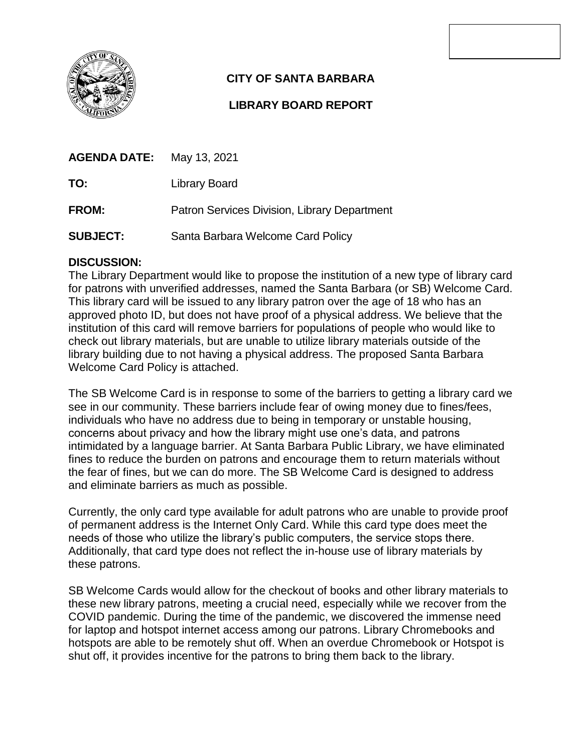

# **CITY OF SANTA BARBARA**

# **LIBRARY BOARD REPORT**

| <b>AGENDA DATE:</b> May 13, 2021 |                                              |
|----------------------------------|----------------------------------------------|
| TO:                              | Library Board                                |
| <b>FROM:</b>                     | Patron Services Division, Library Department |

**SUBJECT:** Santa Barbara Welcome Card Policy

# **DISCUSSION:**

The Library Department would like to propose the institution of a new type of library card for patrons with unverified addresses, named the Santa Barbara (or SB) Welcome Card. This library card will be issued to any library patron over the age of 18 who has an approved photo ID, but does not have proof of a physical address. We believe that the institution of this card will remove barriers for populations of people who would like to check out library materials, but are unable to utilize library materials outside of the library building due to not having a physical address. The proposed Santa Barbara Welcome Card Policy is attached.

The SB Welcome Card is in response to some of the barriers to getting a library card we see in our community. These barriers include fear of owing money due to fines/fees, individuals who have no address due to being in temporary or unstable housing, concerns about privacy and how the library might use one's data, and patrons intimidated by a language barrier. At Santa Barbara Public Library, we have eliminated fines to reduce the burden on patrons and encourage them to return materials without the fear of fines, but we can do more. The SB Welcome Card is designed to address and eliminate barriers as much as possible.

Currently, the only card type available for adult patrons who are unable to provide proof of permanent address is the Internet Only Card. While this card type does meet the needs of those who utilize the library's public computers, the service stops there. Additionally, that card type does not reflect the in-house use of library materials by these patrons.

SB Welcome Cards would allow for the checkout of books and other library materials to these new library patrons, meeting a crucial need, especially while we recover from the COVID pandemic. During the time of the pandemic, we discovered the immense need for laptop and hotspot internet access among our patrons. Library Chromebooks and hotspots are able to be remotely shut off. When an overdue Chromebook or Hotspot is shut off, it provides incentive for the patrons to bring them back to the library.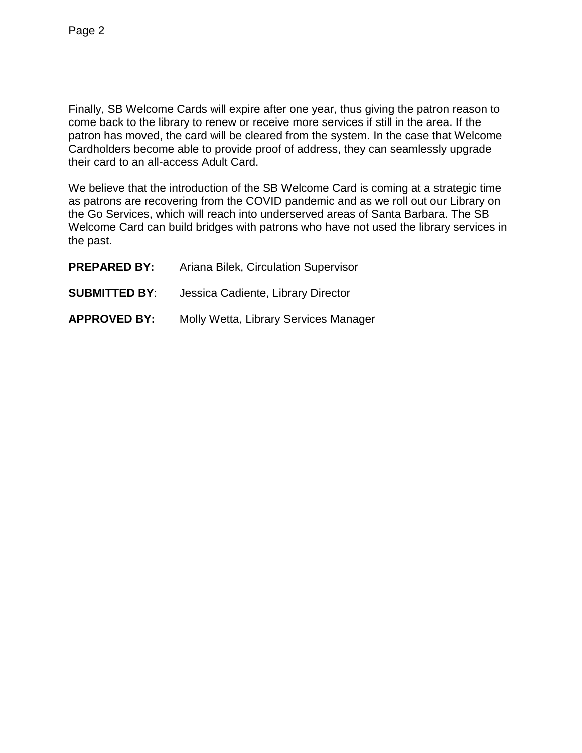Finally, SB Welcome Cards will expire after one year, thus giving the patron reason to come back to the library to renew or receive more services if still in the area. If the patron has moved, the card will be cleared from the system. In the case that Welcome Cardholders become able to provide proof of address, they can seamlessly upgrade their card to an all-access Adult Card.

We believe that the introduction of the SB Welcome Card is coming at a strategic time as patrons are recovering from the COVID pandemic and as we roll out our Library on the Go Services, which will reach into underserved areas of Santa Barbara. The SB Welcome Card can build bridges with patrons who have not used the library services in the past.

| <b>PREPARED BY:</b>  | Ariana Bilek, Circulation Supervisor  |
|----------------------|---------------------------------------|
| <b>SUBMITTED BY:</b> | Jessica Cadiente, Library Director    |
| <b>APPROVED BY:</b>  | Molly Wetta, Library Services Manager |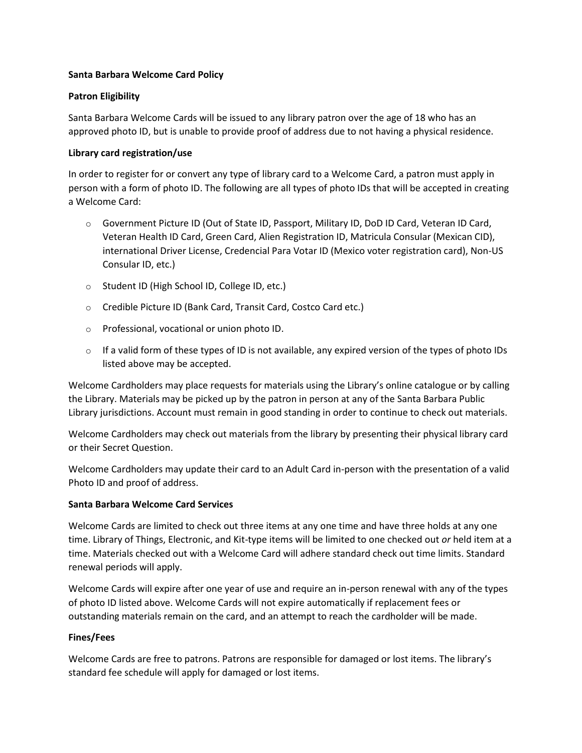#### **Santa Barbara Welcome Card Policy**

#### **Patron Eligibility**

Santa Barbara Welcome Cards will be issued to any library patron over the age of 18 who has an approved photo ID, but is unable to provide proof of address due to not having a physical residence.

#### **Library card registration/use**

In order to register for or convert any type of library card to a Welcome Card, a patron must apply in person with a form of photo ID. The following are all types of photo IDs that will be accepted in creating a Welcome Card:

- o Government Picture ID (Out of State ID, Passport, Military ID, DoD ID Card, Veteran ID Card, Veteran Health ID Card, Green Card, Alien Registration ID, Matricula Consular (Mexican CID), international Driver License, Credencial Para Votar ID (Mexico voter registration card), Non-US Consular ID, etc.)
- o Student ID (High School ID, College ID, etc.)
- o Credible Picture ID (Bank Card, Transit Card, Costco Card etc.)
- o Professional, vocational or union photo ID.
- $\circ$  If a valid form of these types of ID is not available, any expired version of the types of photo IDs listed above may be accepted.

Welcome Cardholders may place requests for materials using the Library's online catalogue or by calling the Library. Materials may be picked up by the patron in person at any of the Santa Barbara Public Library jurisdictions. Account must remain in good standing in order to continue to check out materials.

Welcome Cardholders may check out materials from the library by presenting their physical library card or their Secret Question.

Welcome Cardholders may update their card to an Adult Card in-person with the presentation of a valid Photo ID and proof of address.

### **Santa Barbara Welcome Card Services**

Welcome Cards are limited to check out three items at any one time and have three holds at any one time. Library of Things, Electronic, and Kit-type items will be limited to one checked out *or* held item at a time. Materials checked out with a Welcome Card will adhere standard check out time limits. Standard renewal periods will apply.

Welcome Cards will expire after one year of use and require an in-person renewal with any of the types of photo ID listed above. Welcome Cards will not expire automatically if replacement fees or outstanding materials remain on the card, and an attempt to reach the cardholder will be made.

### **Fines/Fees**

Welcome Cards are free to patrons. Patrons are responsible for damaged or lost items. The library's standard fee schedule will apply for damaged or lost items.